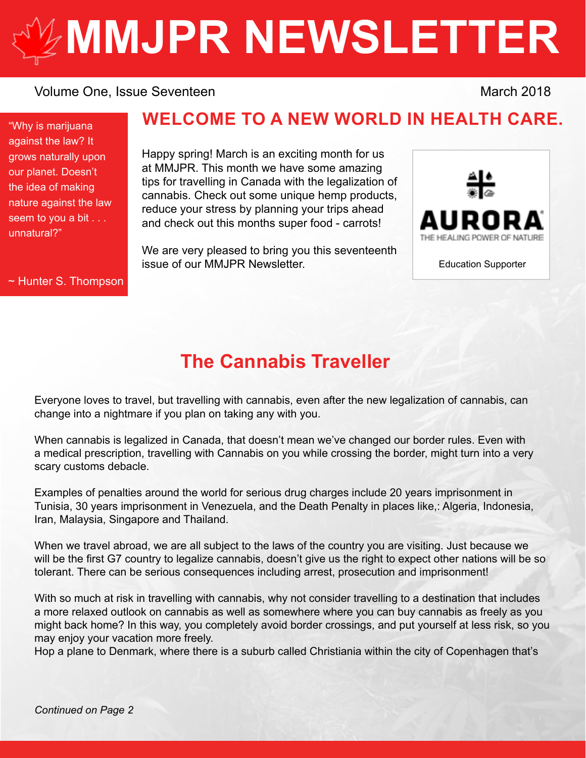# **[MMJPR NEWSLETTER](http://mmjpr.ca)**

#### Volume One, Issue Seventeen March 2018

"Why is marijuana against the law? It grows naturally upon our planet. Doesn't the idea of making nature against the law seem to you a bit . . . unnatural?"

#### ~ Hunter S. Thompson

## **WELCOME TO A NEW WORLD IN HEALTH CARE.**

Happy spring! March is an exciting month for us at MMJPR. This month we have some amazing tips for travelling in Canada with the legalization of cannabis. Check out some unique hemp products, reduce your stress by planning your trips ahead and check out this months super food - carrots!

We are very pleased to bring you this seventeenth issue of our MMJPR Newsletter.



Education Supporter

## **The Cannabis Traveller**

Everyone loves to travel, but travelling with cannabis, even after the new legalization of cannabis, can change into a nightmare if you plan on taking any with you.

When cannabis is legalized in Canada, that doesn't mean we've changed our border rules. Even with a medical prescription, travelling with Cannabis on you while crossing the border, might turn into a very scary customs debacle.

Examples of penalties around the world for serious drug charges include 20 years imprisonment in Tunisia, 30 years imprisonment in Venezuela, and the Death Penalty in places like,: Algeria, Indonesia, Iran, Malaysia, Singapore and Thailand.

When we travel abroad, we are all subject to the laws of the country you are visiting. Just because we will be the first G7 country to legalize cannabis, doesn't give us the right to expect other nations will be so tolerant. There can be serious consequences including arrest, prosecution and imprisonment!

With so much at risk in travelling with cannabis, why not consider travelling to a destination that includes a more relaxed outlook on cannabis as well as somewhere where you can buy cannabis as freely as you might back home? In this way, you completely avoid border crossings, and put yourself at less risk, so you may enjoy your vacation more freely.

Hop a plane to Denmark, where there is a suburb called Christiania within the city of Copenhagen that's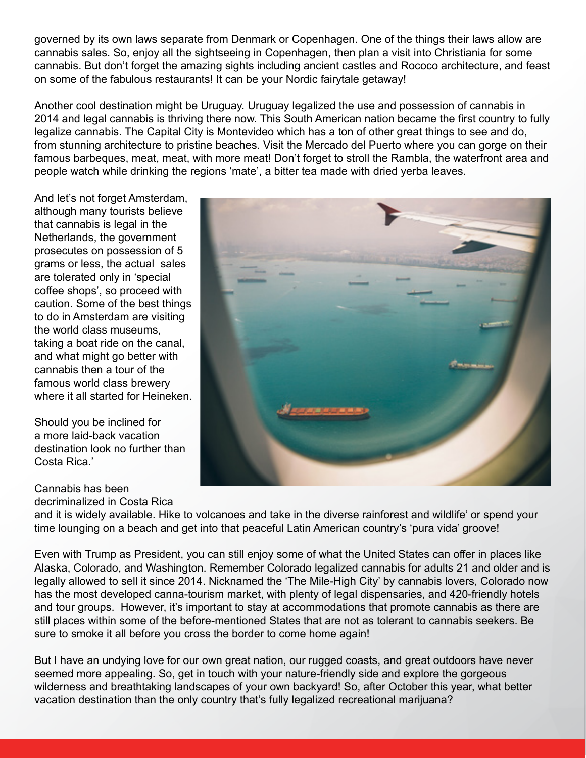governed by its own laws separate from Denmark or Copenhagen. One of the things their laws allow are cannabis sales. So, enjoy all the sightseeing in Copenhagen, then plan a visit into Christiania for some cannabis. But don't forget the amazing sights including ancient castles and Rococo architecture, and feast on some of the fabulous restaurants! It can be your Nordic fairytale getaway!

Another cool destination might be Uruguay. Uruguay legalized the use and possession of cannabis in 2014 and legal cannabis is thriving there now. This South American nation became the first country to fully legalize cannabis. The Capital City is Montevideo which has a ton of other great things to see and do, from stunning architecture to pristine beaches. Visit the Mercado del Puerto where you can gorge on their famous barbeques, meat, meat, with more meat! Don't forget to stroll the Rambla, the waterfront area and people watch while drinking the regions 'mate', a bitter tea made with dried yerba leaves.

And let's not forget Amsterdam, although many tourists believe that cannabis is legal in the Netherlands, the government prosecutes on possession of 5 grams or less, the actual sales are tolerated only in 'special coffee shops', so proceed with caution. Some of the best things to do in Amsterdam are visiting the world class museums, taking a boat ride on the canal, and what might go better with cannabis then a tour of the famous world class brewery where it all started for Heineken.

Should you be inclined for a more laid-back vacation destination look no further than Costa Rica.'

#### Cannabis has been

decriminalized in Costa Rica



and it is widely available. Hike to volcanoes and take in the diverse rainforest and wildlife' or spend your time lounging on a beach and get into that peaceful Latin American country's 'pura vida' groove!

Even with Trump as President, you can still enjoy some of what the United States can offer in places like Alaska, Colorado, and Washington. Remember Colorado legalized cannabis for adults 21 and older and is legally allowed to sell it since 2014. Nicknamed the 'The Mile-High City' by cannabis lovers, Colorado now has the most developed canna-tourism market, with plenty of legal dispensaries, and 420-friendly hotels and tour groups. However, it's important to stay at accommodations that promote cannabis as there are still places within some of the before-mentioned States that are not as tolerant to cannabis seekers. Be sure to smoke it all before you cross the border to come home again!

But I have an undying love for our own great nation, our rugged coasts, and great outdoors have never seemed more appealing. So, get in touch with your nature-friendly side and explore the gorgeous wilderness and breathtaking landscapes of your own backyard! So, after October this year, what better vacation destination than the only country that's fully legalized recreational marijuana?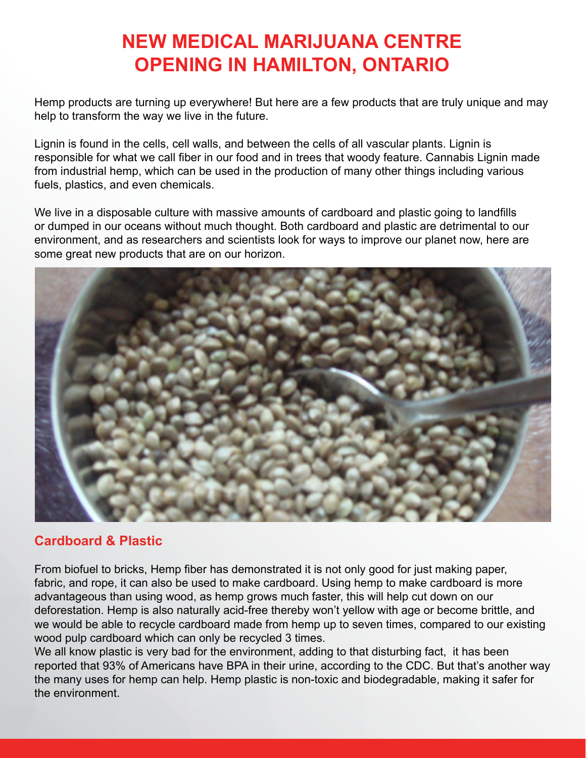## **NEW MEDICAL MARIJUANA CENTRE OPENING IN HAMILTON, ONTARIO**

Hemp products are turning up everywhere! But here are a few products that are truly unique and may help to transform the way we live in the future.

Lignin is found in the cells, cell walls, and between the cells of all vascular plants. Lignin is responsible for what we call fiber in our food and in trees that woody feature. Cannabis Lignin made from industrial hemp, which can be used in the production of many other things including various fuels, plastics, and even chemicals.

We live in a disposable culture with massive amounts of cardboard and plastic going to landfills or dumped in our oceans without much thought. Both cardboard and plastic are detrimental to our environment, and as researchers and scientists look for ways to improve our planet now, here are some great new products that are on our horizon.



## **Cardboard & Plastic**

From biofuel to bricks, Hemp fiber has demonstrated it is not only good for just making paper, fabric, and rope, it can also be used to make cardboard. Using hemp to make cardboard is more advantageous than using wood, as hemp grows much faster, this will help cut down on our deforestation. Hemp is also naturally acid-free thereby won't yellow with age or become brittle, and we would be able to recycle cardboard made from hemp up to seven times, compared to our existing wood pulp cardboard which can only be recycled 3 times.

We all know plastic is very bad for the environment, adding to that disturbing fact, it has been reported that 93% of Americans have BPA in their urine, according to the CDC. But that's another way the many uses for hemp can help. Hemp plastic is non-toxic and biodegradable, making it safer for the environment.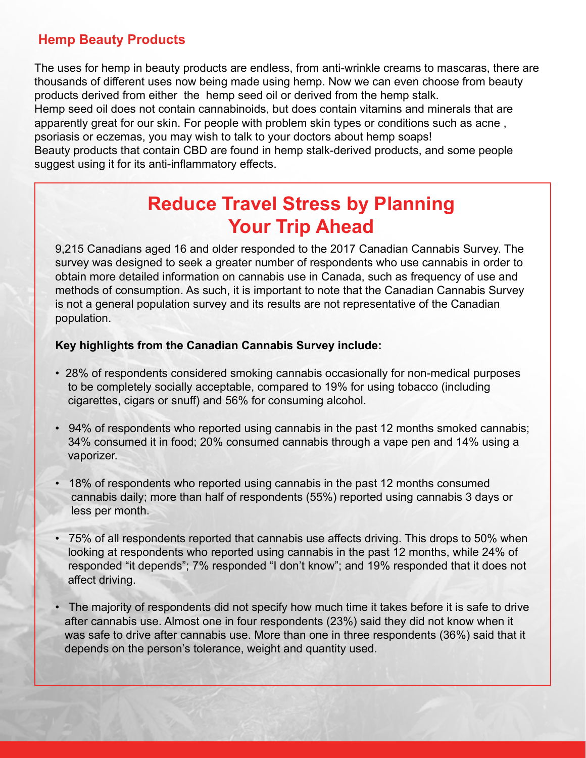## **Hemp Beauty Products**

The uses for hemp in beauty products are endless, from anti-wrinkle creams to mascaras, there are thousands of different uses now being made using hemp. Now we can even choose from beauty products derived from either the hemp seed oil or derived from the hemp stalk. Hemp seed oil does not contain cannabinoids, but does contain vitamins and minerals that are apparently great for our skin. For people with problem skin types or conditions such as acne , psoriasis or eczemas, you may wish to talk to your doctors about hemp soaps! Beauty products that contain CBD are found in hemp stalk-derived products, and some people

suggest using it for its anti-inflammatory effects.

## **Reduce Travel Stress by Planning Your Trip Ahead**

9,215 Canadians aged 16 and older responded to the 2017 Canadian Cannabis Survey. The survey was designed to seek a greater number of respondents who use cannabis in order to obtain more detailed information on cannabis use in Canada, such as frequency of use and methods of consumption. As such, it is important to note that the Canadian Cannabis Survey is not a general population survey and its results are not representative of the Canadian population.

#### **Key highlights from the Canadian Cannabis Survey include:**

- 28% of respondents considered smoking cannabis occasionally for non-medical purposes to be completely socially acceptable, compared to 19% for using tobacco (including cigarettes, cigars or snuff) and 56% for consuming alcohol.
- 94% of respondents who reported using cannabis in the past 12 months smoked cannabis; 34% consumed it in food; 20% consumed cannabis through a vape pen and 14% using a vaporizer.
- 18% of respondents who reported using cannabis in the past 12 months consumed cannabis daily; more than half of respondents (55%) reported using cannabis 3 days or less per month.
- 75% of all respondents reported that cannabis use affects driving. This drops to 50% when looking at respondents who reported using cannabis in the past 12 months, while 24% of responded "it depends"; 7% responded "I don't know"; and 19% responded that it does not affect driving.
- The majority of respondents did not specify how much time it takes before it is safe to drive after cannabis use. Almost one in four respondents (23%) said they did not know when it was safe to drive after cannabis use. More than one in three respondents (36%) said that it depends on the person's tolerance, weight and quantity used.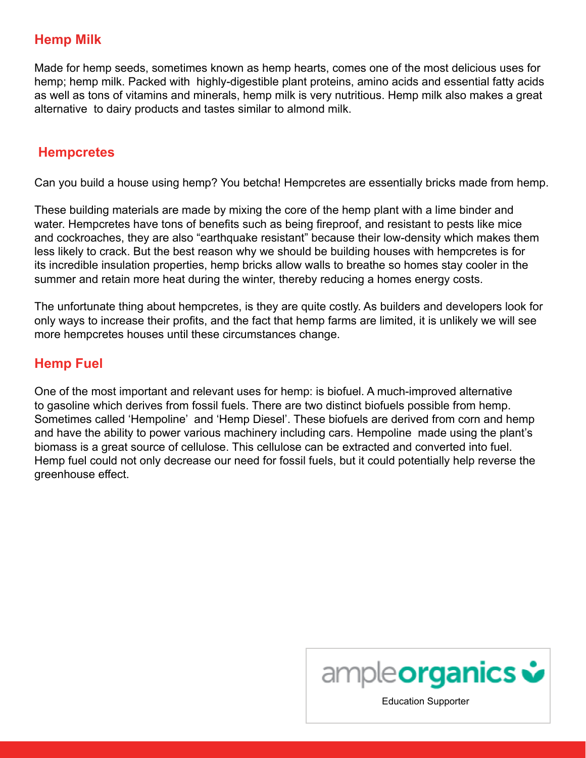## **Hemp Milk**

Made for hemp seeds, sometimes known as hemp hearts, comes one of the most delicious uses for hemp; hemp milk. Packed with highly-digestible plant proteins, amino acids and essential fatty acids as well as tons of vitamins and minerals, hemp milk is very nutritious. Hemp milk also makes a great alternative to dairy products and tastes similar to almond milk.

#### **Hempcretes**

Can you build a house using hemp? You betcha! Hempcretes are essentially bricks made from hemp.

These building materials are made by mixing the core of the hemp plant with a lime binder and water. Hempcretes have tons of benefits such as being fireproof, and resistant to pests like mice and cockroaches, they are also "earthquake resistant" because their low-density which makes them less likely to crack. But the best reason why we should be building houses with hempcretes is for its incredible insulation properties, hemp bricks allow walls to breathe so homes stay cooler in the summer and retain more heat during the winter, thereby reducing a homes energy costs.

The unfortunate thing about hempcretes, is they are quite costly. As builders and developers look for only ways to increase their profits, and the fact that hemp farms are limited, it is unlikely we will see more hempcretes houses until these circumstances change.

## **Hemp Fuel**

One of the most important and relevant uses for hemp: is biofuel. A much-improved alternative to gasoline which derives from fossil fuels. There are two distinct biofuels possible from hemp. Sometimes called 'Hempoline' and 'Hemp Diesel'. These biofuels are derived from corn and hemp and have the ability to power various machinery including cars. Hempoline made using the plant's biomass is a great source of cellulose. This cellulose can be extracted and converted into fuel. Hemp fuel could not only decrease our need for fossil fuels, but it could potentially help reverse the greenhouse effect.

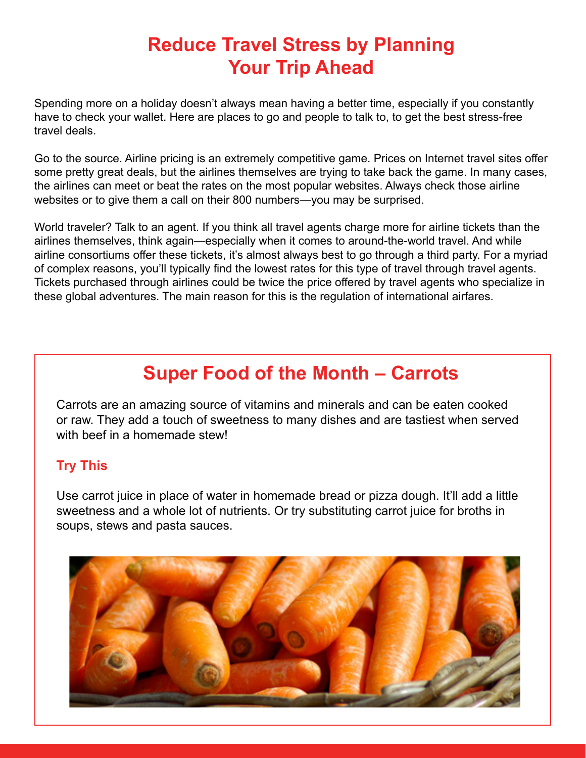## **Reduce Travel Stress by Planning Your Trip Ahead**

Spending more on a holiday doesn't always mean having a better time, especially if you constantly have to check your wallet. Here are places to go and people to talk to, to get the best stress-free travel deals.

Go to the source. Airline pricing is an extremely competitive game. Prices on Internet travel sites offer some pretty great deals, but the airlines themselves are trying to take back the game. In many cases, the airlines can meet or beat the rates on the most popular websites. Always check those airline websites or to give them a call on their 800 numbers—you may be surprised.

World traveler? Talk to an agent. If you think all travel agents charge more for airline tickets than the airlines themselves, think again—especially when it comes to around-the-world travel. And while airline consortiums offer these tickets, it's almost always best to go through a third party. For a myriad of complex reasons, you'll typically find the lowest rates for this type of travel through travel agents. Tickets purchased through airlines could be twice the price offered by travel agents who specialize in these global adventures. The main reason for this is the regulation of international airfares.

# **Super Food of the Month – Carrots**

Carrots are an amazing source of vitamins and minerals and can be eaten cooked or raw. They add a touch of sweetness to many dishes and are tastiest when served with beef in a homemade stew!

## **Try This**

Use carrot juice in place of water in homemade bread or pizza dough. It'll add a little sweetness and a whole lot of nutrients. Or try substituting carrot juice for broths in soups, stews and pasta sauces.